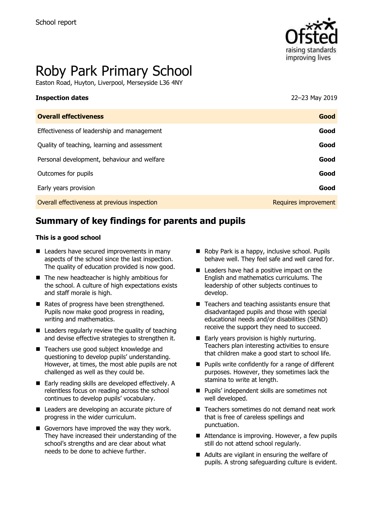

# Roby Park Primary School

Easton Road, Huyton, Liverpool, Merseyside L36 4NY

| <b>Inspection dates</b>                      | 22-23 May 2019       |
|----------------------------------------------|----------------------|
| <b>Overall effectiveness</b>                 | Good                 |
| Effectiveness of leadership and management   | Good                 |
| Quality of teaching, learning and assessment | Good                 |
| Personal development, behaviour and welfare  | Good                 |
| Outcomes for pupils                          | Good                 |
| Early years provision                        | Good                 |
| Overall effectiveness at previous inspection | Requires improvement |
|                                              |                      |

# **Summary of key findings for parents and pupils**

#### **This is a good school**

- Leaders have secured improvements in many aspects of the school since the last inspection. The quality of education provided is now good.
- $\blacksquare$  The new headteacher is highly ambitious for the school. A culture of high expectations exists and staff morale is high.
- Rates of progress have been strengthened. Pupils now make good progress in reading, writing and mathematics.
- Leaders regularly review the quality of teaching and devise effective strategies to strengthen it.
- Teachers use good subject knowledge and questioning to develop pupils' understanding. However, at times, the most able pupils are not challenged as well as they could be.
- Early reading skills are developed effectively. A relentless focus on reading across the school continues to develop pupils' vocabulary.
- Leaders are developing an accurate picture of progress in the wider curriculum.
- Governors have improved the way they work. They have increased their understanding of the school's strengths and are clear about what needs to be done to achieve further.
- Roby Park is a happy, inclusive school. Pupils behave well. They feel safe and well cared for.
- Leaders have had a positive impact on the English and mathematics curriculums. The leadership of other subjects continues to develop.
- $\blacksquare$  Teachers and teaching assistants ensure that disadvantaged pupils and those with special educational needs and/or disabilities (SEND) receive the support they need to succeed.
- Early years provision is highly nurturing. Teachers plan interesting activities to ensure that children make a good start to school life.
- Pupils write confidently for a range of different purposes. However, they sometimes lack the stamina to write at length.
- Pupils' independent skills are sometimes not well developed.
- Teachers sometimes do not demand neat work that is free of careless spellings and punctuation.
- Attendance is improving. However, a few pupils still do not attend school regularly.
- Adults are vigilant in ensuring the welfare of pupils. A strong safeguarding culture is evident.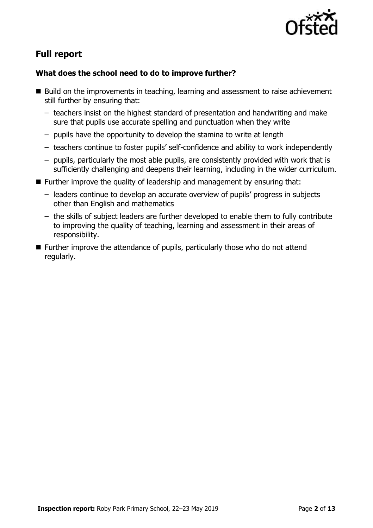

# **Full report**

#### **What does the school need to do to improve further?**

- Build on the improvements in teaching, learning and assessment to raise achievement still further by ensuring that:
	- teachers insist on the highest standard of presentation and handwriting and make sure that pupils use accurate spelling and punctuation when they write
	- pupils have the opportunity to develop the stamina to write at length
	- teachers continue to foster pupils' self-confidence and ability to work independently
	- pupils, particularly the most able pupils, are consistently provided with work that is sufficiently challenging and deepens their learning, including in the wider curriculum.
- $\blacksquare$  Further improve the quality of leadership and management by ensuring that:
	- leaders continue to develop an accurate overview of pupils' progress in subjects other than English and mathematics
	- the skills of subject leaders are further developed to enable them to fully contribute to improving the quality of teaching, learning and assessment in their areas of responsibility.
- Further improve the attendance of pupils, particularly those who do not attend regularly.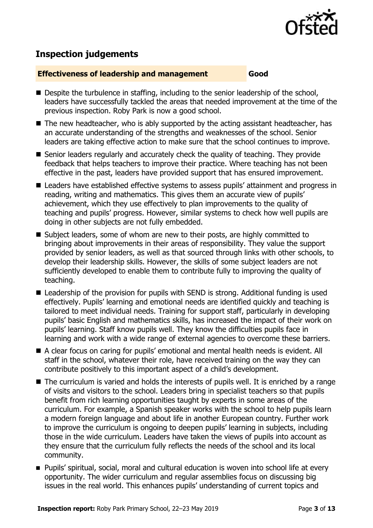

# **Inspection judgements**

#### **Effectiveness of leadership and management Good**

- Despite the turbulence in staffing, including to the senior leadership of the school, leaders have successfully tackled the areas that needed improvement at the time of the previous inspection. Roby Park is now a good school.
- $\blacksquare$  The new headteacher, who is ably supported by the acting assistant headteacher, has an accurate understanding of the strengths and weaknesses of the school. Senior leaders are taking effective action to make sure that the school continues to improve.
- Senior leaders regularly and accurately check the quality of teaching. They provide feedback that helps teachers to improve their practice. Where teaching has not been effective in the past, leaders have provided support that has ensured improvement.
- Leaders have established effective systems to assess pupils' attainment and progress in reading, writing and mathematics. This gives them an accurate view of pupils' achievement, which they use effectively to plan improvements to the quality of teaching and pupils' progress. However, similar systems to check how well pupils are doing in other subjects are not fully embedded.
- Subject leaders, some of whom are new to their posts, are highly committed to bringing about improvements in their areas of responsibility. They value the support provided by senior leaders, as well as that sourced through links with other schools, to develop their leadership skills. However, the skills of some subject leaders are not sufficiently developed to enable them to contribute fully to improving the quality of teaching.
- Leadership of the provision for pupils with SEND is strong. Additional funding is used effectively. Pupils' learning and emotional needs are identified quickly and teaching is tailored to meet individual needs. Training for support staff, particularly in developing pupils' basic English and mathematics skills, has increased the impact of their work on pupils' learning. Staff know pupils well. They know the difficulties pupils face in learning and work with a wide range of external agencies to overcome these barriers.
- A clear focus on caring for pupils' emotional and mental health needs is evident. All staff in the school, whatever their role, have received training on the way they can contribute positively to this important aspect of a child's development.
- $\blacksquare$  The curriculum is varied and holds the interests of pupils well. It is enriched by a range of visits and visitors to the school. Leaders bring in specialist teachers so that pupils benefit from rich learning opportunities taught by experts in some areas of the curriculum. For example, a Spanish speaker works with the school to help pupils learn a modern foreign language and about life in another European country. Further work to improve the curriculum is ongoing to deepen pupils' learning in subjects, including those in the wide curriculum. Leaders have taken the views of pupils into account as they ensure that the curriculum fully reflects the needs of the school and its local community.
- Pupils' spiritual, social, moral and cultural education is woven into school life at every opportunity. The wider curriculum and regular assemblies focus on discussing big issues in the real world. This enhances pupils' understanding of current topics and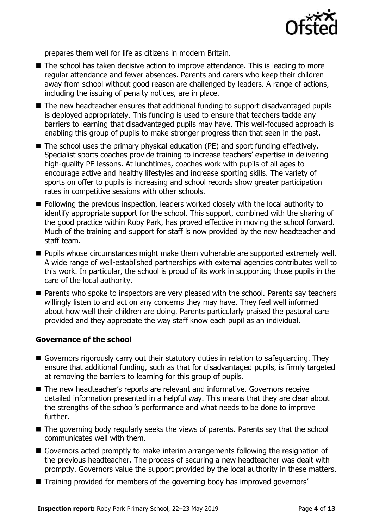

prepares them well for life as citizens in modern Britain.

- The school has taken decisive action to improve attendance. This is leading to more regular attendance and fewer absences. Parents and carers who keep their children away from school without good reason are challenged by leaders. A range of actions, including the issuing of penalty notices, are in place.
- The new headteacher ensures that additional funding to support disadvantaged pupils is deployed appropriately. This funding is used to ensure that teachers tackle any barriers to learning that disadvantaged pupils may have. This well-focused approach is enabling this group of pupils to make stronger progress than that seen in the past.
- The school uses the primary physical education (PE) and sport funding effectively. Specialist sports coaches provide training to increase teachers' expertise in delivering high-quality PE lessons. At lunchtimes, coaches work with pupils of all ages to encourage active and healthy lifestyles and increase sporting skills. The variety of sports on offer to pupils is increasing and school records show greater participation rates in competitive sessions with other schools.
- Following the previous inspection, leaders worked closely with the local authority to identify appropriate support for the school. This support, combined with the sharing of the good practice within Roby Park, has proved effective in moving the school forward. Much of the training and support for staff is now provided by the new headteacher and staff team.
- **Pupils whose circumstances might make them vulnerable are supported extremely well.** A wide range of well-established partnerships with external agencies contributes well to this work. In particular, the school is proud of its work in supporting those pupils in the care of the local authority.
- **Parents who spoke to inspectors are very pleased with the school. Parents say teachers** willingly listen to and act on any concerns they may have. They feel well informed about how well their children are doing. Parents particularly praised the pastoral care provided and they appreciate the way staff know each pupil as an individual.

#### **Governance of the school**

- Governors rigorously carry out their statutory duties in relation to safeguarding. They ensure that additional funding, such as that for disadvantaged pupils, is firmly targeted at removing the barriers to learning for this group of pupils.
- The new headteacher's reports are relevant and informative. Governors receive detailed information presented in a helpful way. This means that they are clear about the strengths of the school's performance and what needs to be done to improve further.
- The governing body regularly seeks the views of parents. Parents say that the school communicates well with them.
- Governors acted promptly to make interim arrangements following the resignation of the previous headteacher. The process of securing a new headteacher was dealt with promptly. Governors value the support provided by the local authority in these matters.
- Training provided for members of the governing body has improved governors'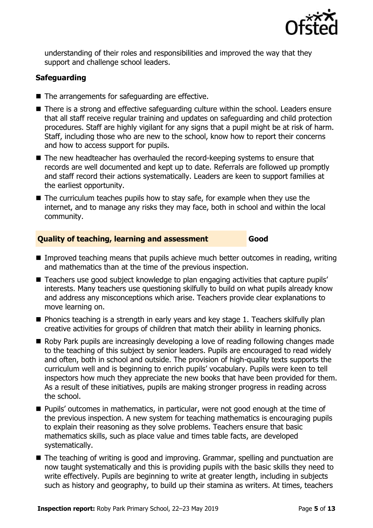

understanding of their roles and responsibilities and improved the way that they support and challenge school leaders.

### **Safeguarding**

- The arrangements for safeguarding are effective.
- There is a strong and effective safeguarding culture within the school. Leaders ensure that all staff receive regular training and updates on safeguarding and child protection procedures. Staff are highly vigilant for any signs that a pupil might be at risk of harm. Staff, including those who are new to the school, know how to report their concerns and how to access support for pupils.
- The new headteacher has overhauled the record-keeping systems to ensure that records are well documented and kept up to date. Referrals are followed up promptly and staff record their actions systematically. Leaders are keen to support families at the earliest opportunity.
- The curriculum teaches pupils how to stay safe, for example when they use the internet, and to manage any risks they may face, both in school and within the local community.

#### **Quality of teaching, learning and assessment Good**

- $\blacksquare$  Improved teaching means that pupils achieve much better outcomes in reading, writing and mathematics than at the time of the previous inspection.
- Teachers use good subject knowledge to plan engaging activities that capture pupils' interests. Many teachers use questioning skilfully to build on what pupils already know and address any misconceptions which arise. Teachers provide clear explanations to move learning on.
- **Phonics teaching is a strength in early years and key stage 1. Teachers skilfully plan** creative activities for groups of children that match their ability in learning phonics.
- Roby Park pupils are increasingly developing a love of reading following changes made to the teaching of this subject by senior leaders. Pupils are encouraged to read widely and often, both in school and outside. The provision of high-quality texts supports the curriculum well and is beginning to enrich pupils' vocabulary. Pupils were keen to tell inspectors how much they appreciate the new books that have been provided for them. As a result of these initiatives, pupils are making stronger progress in reading across the school.
- **Pupils'** outcomes in mathematics, in particular, were not good enough at the time of the previous inspection. A new system for teaching mathematics is encouraging pupils to explain their reasoning as they solve problems. Teachers ensure that basic mathematics skills, such as place value and times table facts, are developed systematically.
- The teaching of writing is good and improving. Grammar, spelling and punctuation are now taught systematically and this is providing pupils with the basic skills they need to write effectively. Pupils are beginning to write at greater length, including in subjects such as history and geography, to build up their stamina as writers. At times, teachers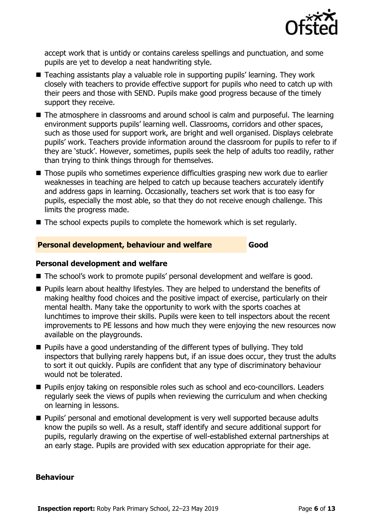

accept work that is untidy or contains careless spellings and punctuation, and some pupils are yet to develop a neat handwriting style.

- Teaching assistants play a valuable role in supporting pupils' learning. They work closely with teachers to provide effective support for pupils who need to catch up with their peers and those with SEND. Pupils make good progress because of the timely support they receive.
- The atmosphere in classrooms and around school is calm and purposeful. The learning environment supports pupils' learning well. Classrooms, corridors and other spaces, such as those used for support work, are bright and well organised. Displays celebrate pupils' work. Teachers provide information around the classroom for pupils to refer to if they are 'stuck'. However, sometimes, pupils seek the help of adults too readily, rather than trying to think things through for themselves.
- Those pupils who sometimes experience difficulties grasping new work due to earlier weaknesses in teaching are helped to catch up because teachers accurately identify and address gaps in learning. Occasionally, teachers set work that is too easy for pupils, especially the most able, so that they do not receive enough challenge. This limits the progress made.
- $\blacksquare$  The school expects pupils to complete the homework which is set regularly.

#### **Personal development, behaviour and welfare Good**

#### **Personal development and welfare**

- The school's work to promote pupils' personal development and welfare is good.
- **Pupils learn about healthy lifestyles. They are helped to understand the benefits of** making healthy food choices and the positive impact of exercise, particularly on their mental health. Many take the opportunity to work with the sports coaches at lunchtimes to improve their skills. Pupils were keen to tell inspectors about the recent improvements to PE lessons and how much they were enjoying the new resources now available on the playgrounds.
- Pupils have a good understanding of the different types of bullying. They told inspectors that bullying rarely happens but, if an issue does occur, they trust the adults to sort it out quickly. Pupils are confident that any type of discriminatory behaviour would not be tolerated.
- Pupils enjoy taking on responsible roles such as school and eco-councillors. Leaders regularly seek the views of pupils when reviewing the curriculum and when checking on learning in lessons.
- **Pupils' personal and emotional development is very well supported because adults** know the pupils so well. As a result, staff identify and secure additional support for pupils, regularly drawing on the expertise of well-established external partnerships at an early stage. Pupils are provided with sex education appropriate for their age.

#### **Behaviour**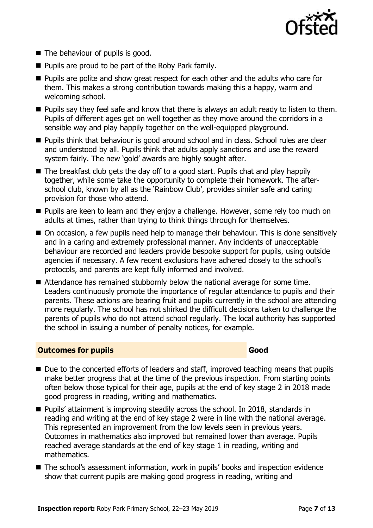

- The behaviour of pupils is good.
- $\blacksquare$  Pupils are proud to be part of the Roby Park family.
- **Pupils are polite and show great respect for each other and the adults who care for** them. This makes a strong contribution towards making this a happy, warm and welcoming school.
- **Pupils say they feel safe and know that there is always an adult ready to listen to them.** Pupils of different ages get on well together as they move around the corridors in a sensible way and play happily together on the well-equipped playground.
- Pupils think that behaviour is good around school and in class. School rules are clear and understood by all. Pupils think that adults apply sanctions and use the reward system fairly. The new 'gold' awards are highly sought after.
- The breakfast club gets the day off to a good start. Pupils chat and play happily together, while some take the opportunity to complete their homework. The afterschool club, known by all as the 'Rainbow Club', provides similar safe and caring provision for those who attend.
- **Pupils are keen to learn and they enjoy a challenge. However, some rely too much on** adults at times, rather than trying to think things through for themselves.
- On occasion, a few pupils need help to manage their behaviour. This is done sensitively and in a caring and extremely professional manner. Any incidents of unacceptable behaviour are recorded and leaders provide bespoke support for pupils, using outside agencies if necessary. A few recent exclusions have adhered closely to the school's protocols, and parents are kept fully informed and involved.
- Attendance has remained stubbornly below the national average for some time. Leaders continuously promote the importance of regular attendance to pupils and their parents. These actions are bearing fruit and pupils currently in the school are attending more regularly. The school has not shirked the difficult decisions taken to challenge the parents of pupils who do not attend school regularly. The local authority has supported the school in issuing a number of penalty notices, for example.

#### **Outcomes for pupils Good**

- Due to the concerted efforts of leaders and staff, improved teaching means that pupils make better progress that at the time of the previous inspection. From starting points often below those typical for their age, pupils at the end of key stage 2 in 2018 made good progress in reading, writing and mathematics.
- Pupils' attainment is improving steadily across the school. In 2018, standards in reading and writing at the end of key stage 2 were in line with the national average. This represented an improvement from the low levels seen in previous years. Outcomes in mathematics also improved but remained lower than average. Pupils reached average standards at the end of key stage 1 in reading, writing and mathematics.
- The school's assessment information, work in pupils' books and inspection evidence show that current pupils are making good progress in reading, writing and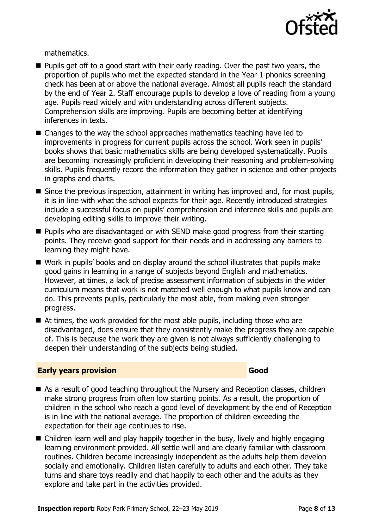

mathematics.

- **Pupils get off to a good start with their early reading. Over the past two years, the** proportion of pupils who met the expected standard in the Year 1 phonics screening check has been at or above the national average. Almost all pupils reach the standard by the end of Year 2. Staff encourage pupils to develop a love of reading from a young age. Pupils read widely and with understanding across different subjects. Comprehension skills are improving. Pupils are becoming better at identifying inferences in texts.
- Changes to the way the school approaches mathematics teaching have led to improvements in progress for current pupils across the school. Work seen in pupils' books shows that basic mathematics skills are being developed systematically. Pupils are becoming increasingly proficient in developing their reasoning and problem-solving skills. Pupils frequently record the information they gather in science and other projects in graphs and charts.
- **Since the previous inspection, attainment in writing has improved and, for most pupils,** it is in line with what the school expects for their age. Recently introduced strategies include a successful focus on pupils' comprehension and inference skills and pupils are developing editing skills to improve their writing.
- Pupils who are disadvantaged or with SEND make good progress from their starting points. They receive good support for their needs and in addressing any barriers to learning they might have.
- Work in pupils' books and on display around the school illustrates that pupils make good gains in learning in a range of subjects beyond English and mathematics. However, at times, a lack of precise assessment information of subjects in the wider curriculum means that work is not matched well enough to what pupils know and can do. This prevents pupils, particularly the most able, from making even stronger progress.
- At times, the work provided for the most able pupils, including those who are disadvantaged, does ensure that they consistently make the progress they are capable of. This is because the work they are given is not always sufficiently challenging to deepen their understanding of the subjects being studied.

#### **Early years provision Good Good**

- As a result of good teaching throughout the Nursery and Reception classes, children make strong progress from often low starting points. As a result, the proportion of children in the school who reach a good level of development by the end of Reception is in line with the national average. The proportion of children exceeding the expectation for their age continues to rise.
- Children learn well and play happily together in the busy, lively and highly engaging learning environment provided. All settle well and are clearly familiar with classroom routines. Children become increasingly independent as the adults help them develop socially and emotionally. Children listen carefully to adults and each other. They take turns and share toys readily and chat happily to each other and the adults as they explore and take part in the activities provided.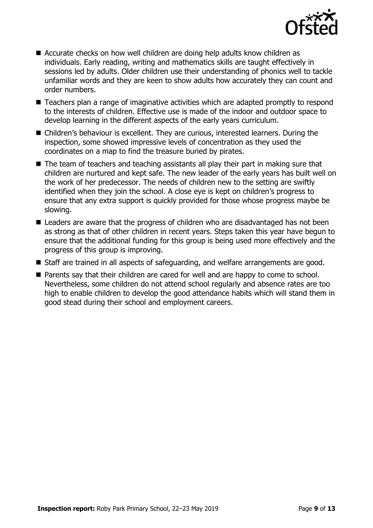

- Accurate checks on how well children are doing help adults know children as individuals. Early reading, writing and mathematics skills are taught effectively in sessions led by adults. Older children use their understanding of phonics well to tackle unfamiliar words and they are keen to show adults how accurately they can count and order numbers.
- Teachers plan a range of imaginative activities which are adapted promptly to respond to the interests of children. Effective use is made of the indoor and outdoor space to develop learning in the different aspects of the early years curriculum.
- Children's behaviour is excellent. They are curious, interested learners. During the inspection, some showed impressive levels of concentration as they used the coordinates on a map to find the treasure buried by pirates.
- The team of teachers and teaching assistants all play their part in making sure that children are nurtured and kept safe. The new leader of the early years has built well on the work of her predecessor. The needs of children new to the setting are swiftly identified when they join the school. A close eye is kept on children's progress to ensure that any extra support is quickly provided for those whose progress maybe be slowing.
- Leaders are aware that the progress of children who are disadvantaged has not been as strong as that of other children in recent years. Steps taken this year have begun to ensure that the additional funding for this group is being used more effectively and the progress of this group is improving.
- Staff are trained in all aspects of safeguarding, and welfare arrangements are good.
- Parents say that their children are cared for well and are happy to come to school. Nevertheless, some children do not attend school regularly and absence rates are too high to enable children to develop the good attendance habits which will stand them in good stead during their school and employment careers.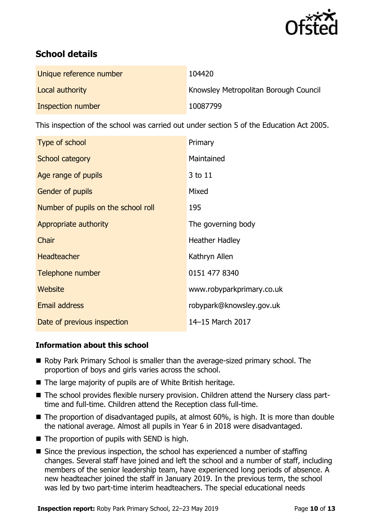

# **School details**

| Unique reference number | 104420                                |
|-------------------------|---------------------------------------|
| Local authority         | Knowsley Metropolitan Borough Council |
| Inspection number       | 10087799                              |

This inspection of the school was carried out under section 5 of the Education Act 2005.

| Type of school                      | Primary                   |
|-------------------------------------|---------------------------|
| School category                     | Maintained                |
| Age range of pupils                 | 3 to 11                   |
| <b>Gender of pupils</b>             | Mixed                     |
| Number of pupils on the school roll | 195                       |
| Appropriate authority               | The governing body        |
| Chair                               | <b>Heather Hadley</b>     |
| <b>Headteacher</b>                  | Kathryn Allen             |
| Telephone number                    | 0151 477 8340             |
| Website                             | www.robyparkprimary.co.uk |
| <b>Email address</b>                | robypark@knowsley.gov.uk  |
| Date of previous inspection         | 14-15 March 2017          |

#### **Information about this school**

- Roby Park Primary School is smaller than the average-sized primary school. The proportion of boys and girls varies across the school.
- The large majority of pupils are of White British heritage.
- The school provides flexible nursery provision. Children attend the Nursery class parttime and full-time. Children attend the Reception class full-time.
- The proportion of disadvantaged pupils, at almost 60%, is high. It is more than double the national average. Almost all pupils in Year 6 in 2018 were disadvantaged.
- $\blacksquare$  The proportion of pupils with SEND is high.
- Since the previous inspection, the school has experienced a number of staffing changes. Several staff have joined and left the school and a number of staff, including members of the senior leadership team, have experienced long periods of absence. A new headteacher joined the staff in January 2019. In the previous term, the school was led by two part-time interim headteachers. The special educational needs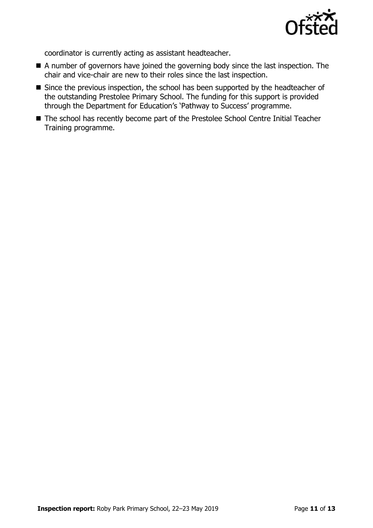

coordinator is currently acting as assistant headteacher.

- A number of governors have joined the governing body since the last inspection. The chair and vice-chair are new to their roles since the last inspection.
- Since the previous inspection, the school has been supported by the headteacher of the outstanding Prestolee Primary School. The funding for this support is provided through the Department for Education's 'Pathway to Success' programme.
- The school has recently become part of the Prestolee School Centre Initial Teacher Training programme.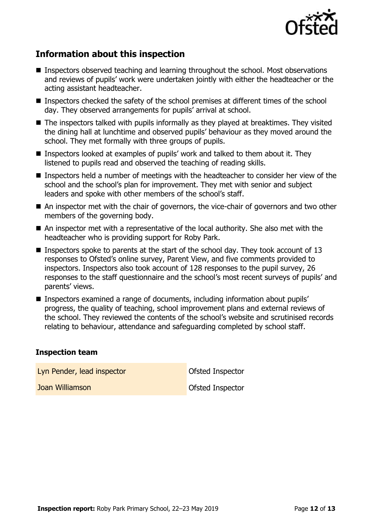

# **Information about this inspection**

- Inspectors observed teaching and learning throughout the school. Most observations and reviews of pupils' work were undertaken jointly with either the headteacher or the acting assistant headteacher.
- Inspectors checked the safety of the school premises at different times of the school day. They observed arrangements for pupils' arrival at school.
- The inspectors talked with pupils informally as they played at breaktimes. They visited the dining hall at lunchtime and observed pupils' behaviour as they moved around the school. They met formally with three groups of pupils.
- Inspectors looked at examples of pupils' work and talked to them about it. They listened to pupils read and observed the teaching of reading skills.
- Inspectors held a number of meetings with the headteacher to consider her view of the school and the school's plan for improvement. They met with senior and subject leaders and spoke with other members of the school's staff.
- An inspector met with the chair of governors, the vice-chair of governors and two other members of the governing body.
- An inspector met with a representative of the local authority. She also met with the headteacher who is providing support for Roby Park.
- **Inspectors spoke to parents at the start of the school day. They took account of 13** responses to Ofsted's online survey, Parent View, and five comments provided to inspectors. Inspectors also took account of 128 responses to the pupil survey, 26 responses to the staff questionnaire and the school's most recent surveys of pupils' and parents' views.
- Inspectors examined a range of documents, including information about pupils' progress, the quality of teaching, school improvement plans and external reviews of the school. They reviewed the contents of the school's website and scrutinised records relating to behaviour, attendance and safeguarding completed by school staff.

#### **Inspection team**

Lyn Pender, lead inspector **Contact Contact Contact Contact Contact Contact Contact Contact Contact Contact Contact Contact Contact Contact Contact Contact Contact Contact Contact Contact Contact Contact Contact Contact Co** 

**Joan Williamson Construction Ofsted Inspector**